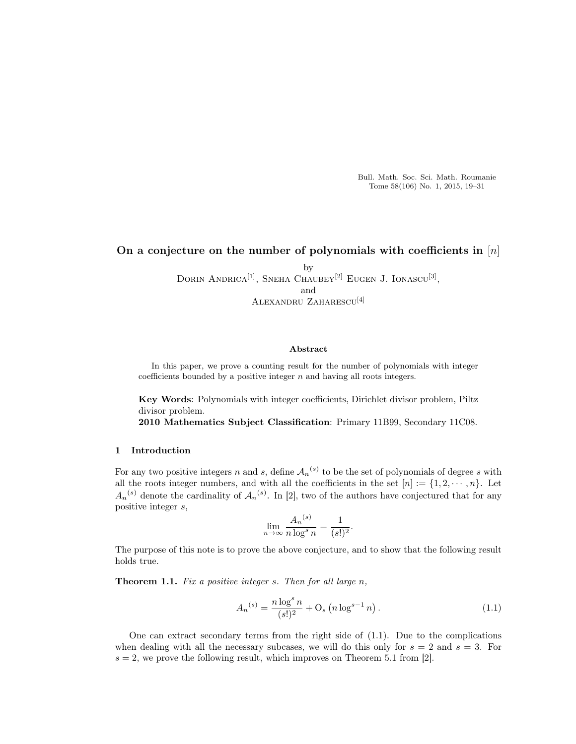Bull. Math. Soc. Sci. Math. Roumanie Tome 58(106) No. 1, 2015, 19–31

# On a conjecture on the number of polynomials with coefficients in  $[n]$

by DORIN ANDRICA<sup>[1]</sup>, SNEHA CHAUBEY<sup>[2]</sup> EUGEN J. IONASCU<sup>[3]</sup>, and Alexandru Zaharescu[4]

### Abstract

In this paper, we prove a counting result for the number of polynomials with integer coefficients bounded by a positive integer  $n$  and having all roots integers.

Key Words: Polynomials with integer coefficients, Dirichlet divisor problem, Piltz divisor problem.

2010 Mathematics Subject Classification: Primary 11B99, Secondary 11C08.

## 1 Introduction

For any two positive integers n and s, define  $A_n^{(s)}$  to be the set of polynomials of degree s with all the roots integer numbers, and with all the coefficients in the set  $[n] := \{1, 2, \dots, n\}$ . Let  $A_n^{(s)}$  denote the cardinality of  $A_n^{(s)}$ . In [2], two of the authors have conjectured that for any positive integer s,

$$
\lim_{n \to \infty} \frac{A_n^{(s)}}{n \log^s n} = \frac{1}{(s!)^2}.
$$

The purpose of this note is to prove the above conjecture, and to show that the following result holds true.

**Theorem 1.1.** Fix a positive integer s. Then for all large  $n$ ,

$$
A_n^{(s)} = \frac{n \log^s n}{(s!)^2} + \mathcal{O}_s \left( n \log^{s-1} n \right). \tag{1.1}
$$

One can extract secondary terms from the right side of (1.1). Due to the complications when dealing with all the necessary subcases, we will do this only for  $s = 2$  and  $s = 3$ . For  $s = 2$ , we prove the following result, which improves on Theorem 5.1 from [2].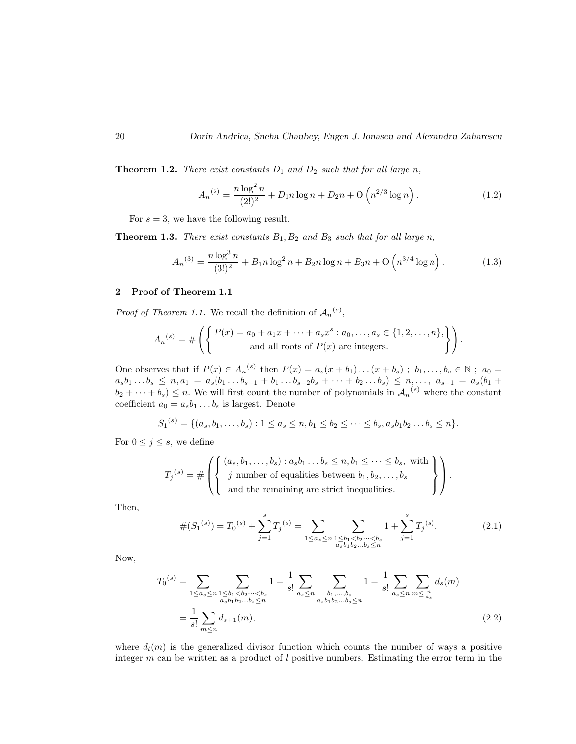**Theorem 1.2.** There exist constants  $D_1$  and  $D_2$  such that for all large n,

$$
A_n^{(2)} = \frac{n \log^2 n}{(2!)^2} + D_1 n \log n + D_2 n + O\left(n^{2/3} \log n\right).
$$
 (1.2)

For  $s = 3$ , we have the following result.

**Theorem 1.3.** There exist constants  $B_1$ ,  $B_2$  and  $B_3$  such that for all large n,

$$
A_n^{(3)} = \frac{n \log^3 n}{(3!)^2} + B_1 n \log^2 n + B_2 n \log n + B_3 n + O\left(n^{3/4} \log n\right). \tag{1.3}
$$

## 2 Proof of Theorem 1.1

*Proof of Theorem 1.1.* We recall the definition of  $A_n^{(s)}$ ,

$$
A_n^{(s)} = \#\left(\left\{\begin{matrix} P(x) = a_0 + a_1x + \dots + a_sx^s : a_0, \dots, a_s \in \{1, 2, \dots, n\}, \\ \text{and all roots of } P(x) \text{ are integers.} \end{matrix}\right\}\right).
$$

One observes that if  $P(x) \in A_n^{(s)}$  then  $P(x) = a_s(x + b_1) \dots (x + b_s)$ ;  $b_1, \dots, b_s \in \mathbb{N}$ ;  $a_0 =$  $a_s b_1 \ldots b_s \leq n, a_1 = a_s (b_1 \ldots b_{s-1} + b_1 \ldots b_{s-2} b_s + \cdots + b_2 \ldots b_s) \leq n, \ldots, a_{s-1} = a_s (b_1 + b_2)$  $(b_2 + \cdots + b_s) \leq n$ . We will first count the number of polynomials in  $\mathcal{A}_n^{(s)}$  where the constant coefficient  $a_0 = a_s b_1 \dots b_s$  is largest. Denote

$$
S_1^{(s)} = \{(a_s, b_1, \ldots, b_s) : 1 \le a_s \le n, b_1 \le b_2 \le \cdots \le b_s, a_s b_1 b_2 \ldots b_s \le n\}.
$$

For  $0 \leq j \leq s$ , we define

$$
T_j^{(s)} = \#\left( \left\{ \begin{array}{l} (a_s, b_1, \ldots, b_s) : a_s b_1 \ldots b_s \leq n, b_1 \leq \cdots \leq b_s, \text{ with} \\ j \text{ number of equalities between } b_1, b_2, \ldots, b_s \\ \text{ and the remaining are strict inequalities.} \end{array} \right\} \right).
$$

Then,

$$
\#(S_1^{(s)}) = T_0^{(s)} + \sum_{j=1}^s T_j^{(s)} = \sum_{1 \le a_s \le n} \sum_{\substack{1 \le b_1 < b_2 \cdots < b_s \\ a_s b_1 b_2 \cdots & b_s \le n}} 1 + \sum_{j=1}^s T_j^{(s)}.\tag{2.1}
$$

Now,

$$
T_0^{(s)} = \sum_{1 \le a_s \le n} \sum_{\substack{1 \le b_1 < b_2 \cdots < b_s \\ a_s b_1 b_2 \cdots & b_s \le n}} 1 = \frac{1}{s!} \sum_{a_s \le n} \sum_{\substack{b_1, \ldots, b_s \\ a_s b_1 b_2 \cdots & b_s \le n}} 1 = \frac{1}{s!} \sum_{a_s \le n} \sum_{m \le \frac{n}{a_s}} d_s(m)
$$
\n
$$
= \frac{1}{s!} \sum_{m \le n} d_{s+1}(m), \tag{2.2}
$$

where  $d_l(m)$  is the generalized divisor function which counts the number of ways a positive integer  $m$  can be written as a product of  $l$  positive numbers. Estimating the error term in the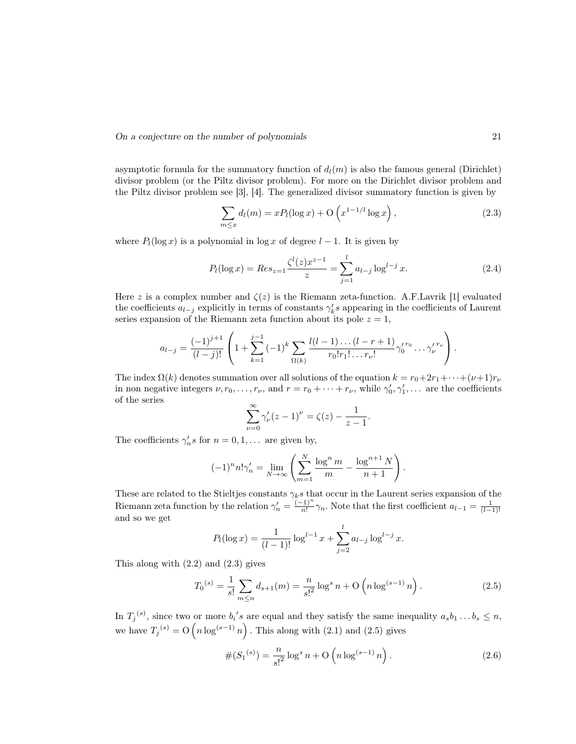asymptotic formula for the summatory function of  $d_l(m)$  is also the famous general (Dirichlet) divisor problem (or the Piltz divisor problem). For more on the Dirichlet divisor problem and the Piltz divisor problem see [3], [4]. The generalized divisor summatory function is given by

$$
\sum_{m \le x} d_l(m) = x P_l(\log x) + \mathcal{O}\left(x^{1-1/l} \log x\right),\tag{2.3}
$$

where  $P_l(\log x)$  is a polynomial in  $\log x$  of degree  $l-1$ . It is given by

$$
P_l(\log x) = Res_{z=1} \frac{\zeta^l(z) x^{z-1}}{z} = \sum_{j=1}^l a_{l-j} \log^{l-j} x.
$$
 (2.4)

Here z is a complex number and  $\zeta(z)$  is the Riemann zeta-function. A.F. Lavrik [1] evaluated the coefficients  $a_{l-j}$  explicitly in terms of constants  $\gamma'_{k} s$  appearing in the coefficients of Laurent series expansion of the Riemann zeta function about its pole  $z = 1$ ,

$$
a_{l-j} = \frac{(-1)^{j+1}}{(l-j)!} \left( 1 + \sum_{k=1}^{j-1} (-1)^k \sum_{\Omega(k)} \frac{l(l-1)\dots(l-r+1)}{r_0!r_1!\dots r_{\nu}!} \gamma_0^{r_0} \dots \gamma_{\nu}^{r_{\nu}} \right).
$$

The index  $\Omega(k)$  denotes summation over all solutions of the equation  $k = r_0 + 2r_1 + \cdots + (\nu+1)r_{\nu}$ in non negative integers  $\nu, r_0, \ldots, r_{\nu}$ , and  $r = r_0 + \cdots + r_{\nu}$ , while  $\gamma'_0, \gamma'_1, \ldots$  are the coefficients of the series

$$
\sum_{\nu=0}^{\infty} \gamma_{\nu}'(z-1)^{\nu} = \zeta(z) - \frac{1}{z-1}.
$$

The coefficients  $\gamma'_n s$  for  $n = 0, 1, \dots$  are given by,

$$
(-1)^{n} n! \gamma'_{n} = \lim_{N \to \infty} \left( \sum_{m=1}^{N} \frac{\log^{n} m}{m} - \frac{\log^{n+1} N}{n+1} \right).
$$

These are related to the Stieltjes constants  $\gamma_k s$  that occur in the Laurent series expansion of the Riemann zeta function by the relation  $\gamma'_n = \frac{(-1)^n}{n!}$  $\frac{(n+1)^n}{n!}\gamma_n$ . Note that the first coefficient  $a_{l-1} = \frac{1}{(l-1)!}$ and so we get

$$
P_l(\log x) = \frac{1}{(l-1)!} \log^{l-1} x + \sum_{j=2}^{l} a_{l-j} \log^{l-j} x.
$$

This along with (2.2) and (2.3) gives

$$
T_0^{(s)} = \frac{1}{s!} \sum_{m \le n} d_{s+1}(m) = \frac{n}{s!^2} \log^s n + O\left(n \log^{(s-1)} n\right).
$$
 (2.5)

In  $T_j^{(s)}$ , since two or more  $b_i$ 's are equal and they satisfy the same inequality  $a_s b_1 \dots b_s \leq n$ , we have  $T_j^{(s)} = O(n \log^{(s-1)} n)$ . This along with (2.1) and (2.5) gives

$$
#(S_1^{(s)}) = \frac{n}{s!^2} \log^s n + O\left(n \log^{(s-1)} n\right).
$$
 (2.6)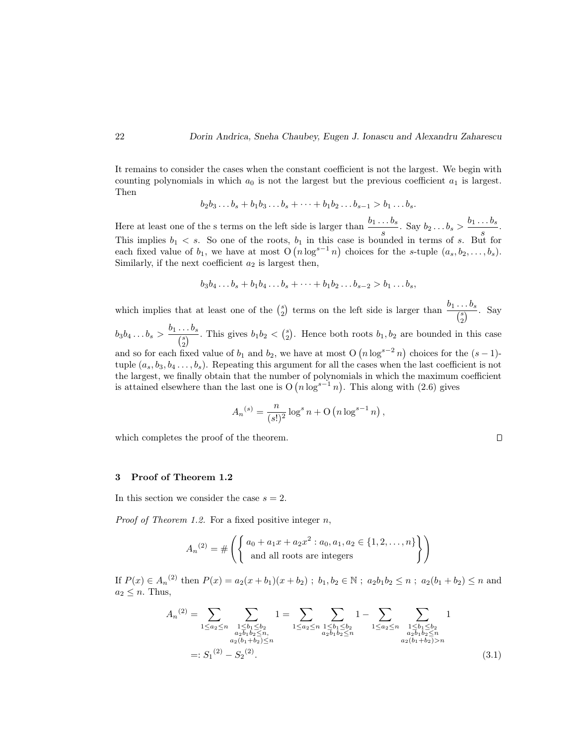It remains to consider the cases when the constant coefficient is not the largest. We begin with counting polynomials in which  $a_0$  is not the largest but the previous coefficient  $a_1$  is largest. Then

$$
b_2b_3...b_s+b_1b_3...b_s+...+b_1b_2...b_{s-1}>b_1...b_s.
$$

Here at least one of the s terms on the left side is larger than  $\frac{b_1 \dots b_s}{s}$ . Say  $b_2 \dots b_s > \frac{b_1 \dots b_s}{s}$  $\frac{... \, \, \, \cdot \, \, \cdot \, \, \cdot \, \, \cdot \, \, \cdot \, \, \cdot \, \, \cdot \, \, \cdot \, \, \cdot \, \, \cdot \, \, \cdot \, \, \cdot \, \, \cdot \, \, \cdot \, \, \cdot \, \, \cdot \, \, \cdot \, \, \cdot \, \, \cdot \, \, \cdot \, \, \cdot \, \cdot \, \cdot \, \cdot \, \cdot \, \cdot \, \cdot \, \cdot \, \cdot \, \cdot \, \cdot \, \cdot \, \cdot \, \cdot \, \cdot \, \cdot \, \cdot \, \cdot \, \cdot \, \cdot \, \cdot \, \cdot \, \cdot$ This implies  $b_1 < s$ . So one of the roots,  $b_1$  in this case is bounded in terms of s. But for each fixed value of  $b_1$ , we have at most  $O(n \log^{s-1} n)$  choices for the s-tuple  $(a_s, b_2, \ldots, b_s)$ . Similarly, if the next coefficient  $a_2$  is largest then,

$$
b_3b_4...b_s+b_1b_4...b_s+...+b_1b_2...b_{s-2}>b_1...b_s,
$$

which implies that at least one of the  $\binom{s}{2}$  terms on the left side is larger than  $\frac{b_1 \dots b_s}{\binom{s}{2}}$ . Say 2  $b_3b_4 \ldots b_s > \frac{b_1 \ldots b_s}{(s)}$  $\frac{1 \cdot b}{s}$ . This gives  $b_1b_2 < {s \choose 2}$ . Hence both roots  $b_1, b_2$  are bounded in this case and so for each fixed value of  $b_1$  and  $b_2$ , we have at most O  $(n \log^{s-2} n)$  choices for the  $(s-1)$ -

tuple  $(a_s, b_3, b_4, \ldots, b_s)$ . Repeating this argument for all the cases when the last coefficient is not the largest, we finally obtain that the number of polynomials in which the maximum coefficient is attained elsewhere than the last one is  $O(n \log^{s-1} n)$ . This along with (2.6) gives

$$
A_n^{(s)} = \frac{n}{(s!)^2} \log^s n + O(n \log^{s-1} n),
$$

which completes the proof of the theorem.

 $\Box$ 

### 3 Proof of Theorem 1.2

In this section we consider the case  $s = 2$ .

*Proof of Theorem 1.2.* For a fixed positive integer  $n$ ,

$$
A_n^{(2)} = \# \left( \left\{ \begin{array}{l} a_0 + a_1 x + a_2 x^2 : a_0, a_1, a_2 \in \{1, 2, ..., n\} \\ \text{and all roots are integers} \end{array} \right\} \right)
$$

If  $P(x) \in A_n^{(2)}$  then  $P(x) = a_2(x + b_1)(x + b_2)$ ;  $b_1, b_2 \in \mathbb{N}$ ;  $a_2b_1b_2 \leq n$ ;  $a_2(b_1 + b_2) \leq n$  and  $a_2 \leq n$ . Thus,

$$
A_n^{(2)} = \sum_{1 \le a_2 \le n} \sum_{\substack{1 \le b_1 \le b_2 \\ a_2 b_1 b_2 \le n, \\ a_2 (b_1 + b_2) \le n}} 1 = \sum_{1 \le a_2 \le n} \sum_{\substack{1 \le b_1 \le b_2 \\ a_2 b_1 b_2 \le n}} 1 - \sum_{1 \le a_2 \le n} \sum_{\substack{1 \le b_1 \le b_2 \\ a_2 b_1 b_2 \le n, \\ a_2 (b_1 + b_2) > n}} 1
$$
\n
$$
=: S_1^{(2)} - S_2^{(2)}.
$$
\n
$$
(3.1)
$$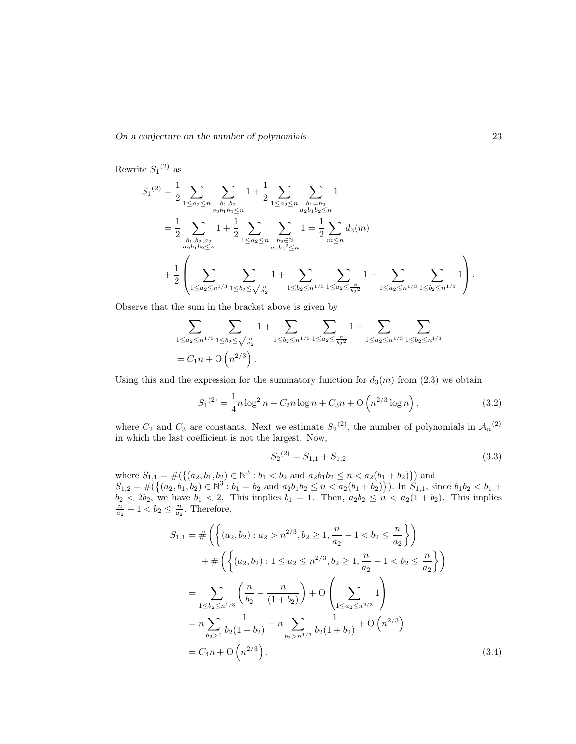Rewrite  $S_1$ <sup>(2)</sup> as

$$
S_1^{(2)} = \frac{1}{2} \sum_{1 \le a_2 \le n} \sum_{\substack{b_1, b_2 \ b_1 b_2 \le n}} 1 + \frac{1}{2} \sum_{1 \le a_2 \le n} \sum_{\substack{b_1 = b_2 \ a_2 b_1 b_2 \le n}} 1
$$
  
= 
$$
\frac{1}{2} \sum_{\substack{b_1, b_2, a_2 \ a_2 b_1 b_2 \le n}} 1 + \frac{1}{2} \sum_{1 \le a_2 \le n} \sum_{\substack{b_2 \in \mathbb{N} \ a_2 b_2 \le n}} 1 = \frac{1}{2} \sum_{m \le n} d_3(m)
$$
  
+ 
$$
\frac{1}{2} \left( \sum_{1 \le a_2 \le n^{1/3}} \sum_{1 \le b_2 \le \sqrt{\frac{n}{a_2}}} 1 + \sum_{1 \le b_2 \le n^{1/3}} \sum_{1 \le a_2 \le \frac{n}{b_2 2}} 1 - \sum_{1 \le a_2 \le n^{1/3}} \sum_{1 \le b_2 \le n^{1/3}} 1 \right).
$$

Observe that the sum in the bracket above is given by

$$
\sum_{1 \le a_2 \le n^{1/3}} \sum_{1 \le b_2 \le \sqrt{\frac{n}{a_2}}} 1 + \sum_{1 \le b_2 \le n^{1/3}} \sum_{1 \le a_2 \le \frac{n}{b_2^2}} 1 - \sum_{1 \le a_2 \le n^{1/3}} \sum_{1 \le b_2 \le n^{1/3}}
$$
  
=  $C_1 n + O\left(n^{2/3}\right)$ .

Using this and the expression for the summatory function for  $d_3(m)$  from  $(2.3)$  we obtain

$$
S_1^{(2)} = \frac{1}{4}n\log^2 n + C_2 n \log n + C_3 n + O\left(n^{2/3}\log n\right),\tag{3.2}
$$

where  $C_2$  and  $C_3$  are constants. Next we estimate  $S_2^{(2)}$ , the number of polynomials in  $\mathcal{A}_n^{(2)}$ in which the last coefficient is not the largest. Now,

$$
S_2^{(2)} = S_{1,1} + S_{1,2} \tag{3.3}
$$

where  $S_{1,1} = \#({ (a_2, b_1, b_2) \in \mathbb{N}^3 : b_1 < b_2 \text{ and } a_2b_1b_2 \le n < a_2(b_1 + b_2) } )$  and  $S_{1,2} = \#(\{(a_2, b_1, b_2) \in \mathbb{N}^3 : b_1 = b_2 \text{ and } a_2b_1b_2 \leq n < a_2(b_1 + b_2)\})$ . In  $S_{1,1}$ , since  $b_1b_2 < b_1 + b_2$  $b_2 < 2b_2$ , we have  $b_1 < 2$ . This implies  $b_1 = 1$ . Then,  $a_2b_2 \le n < a_2(1 + b_2)$ . This implies  $\frac{n}{a_2} - 1 < b_2 \le \frac{n}{a_2}$ . Therefore,

$$
S_{1,1} = \# \left( \left\{ (a_2, b_2) : a_2 > n^{2/3}, b_2 \ge 1, \frac{n}{a_2} - 1 < b_2 \le \frac{n}{a_2} \right\} \right)
$$
\n
$$
+ \# \left( \left\{ (a_2, b_2) : 1 \le a_2 \le n^{2/3}, b_2 \ge 1, \frac{n}{a_2} - 1 < b_2 \le \frac{n}{a_2} \right\} \right)
$$
\n
$$
= \sum_{1 \le b_2 \le n^{1/3}} \left( \frac{n}{b_2} - \frac{n}{(1 + b_2)} \right) + O \left( \sum_{1 \le a_2 \le n^{2/3}} 1 \right)
$$
\n
$$
= n \sum_{b_2 > 1} \frac{1}{b_2 (1 + b_2)} - n \sum_{b_2 > n^{1/3}} \frac{1}{b_2 (1 + b_2)} + O \left( n^{2/3} \right)
$$
\n
$$
= C_4 n + O \left( n^{2/3} \right).
$$
\n(3.4)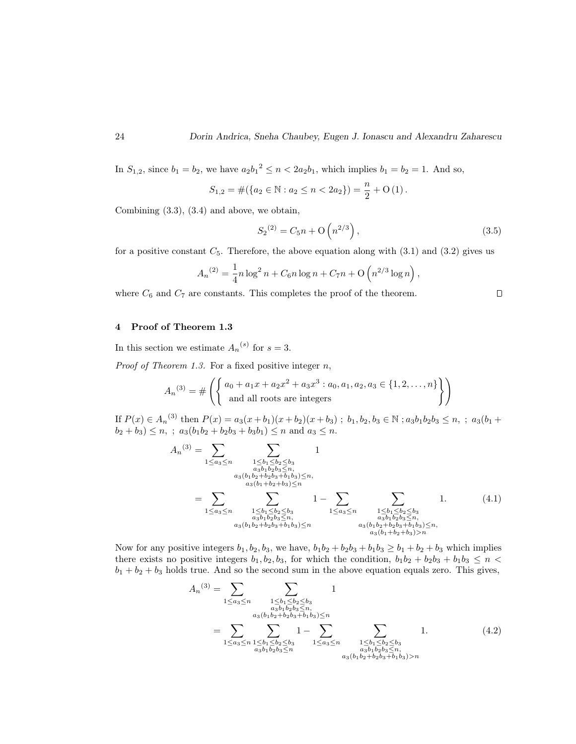In  $S_{1,2}$ , since  $b_1 = b_2$ , we have  $a_2b_1^2 \le n < 2a_2b_1$ , which implies  $b_1 = b_2 = 1$ . And so,

$$
S_{1,2} = #({a_2 \in \mathbb{N} : a_2 \le n < 2a_2}) = \frac{n}{2} + O(1).
$$

Combining (3.3), (3.4) and above, we obtain,

$$
S_2^{(2)} = C_5 n + \mathcal{O}\left(n^{2/3}\right),\tag{3.5}
$$

,

 $\Box$ 

for a positive constant  $C_5$ . Therefore, the above equation along with (3.1) and (3.2) gives us

$$
A_n^{(2)} = \frac{1}{4}n \log^2 n + C_6 n \log n + C_7 n + O\left(n^{2/3} \log n\right)
$$

where  $C_6$  and  $C_7$  are constants. This completes the proof of the theorem.

## 4 Proof of Theorem 1.3

In this section we estimate  $A_n^{(s)}$  for  $s=3$ .

*Proof of Theorem 1.3.* For a fixed positive integer  $n$ ,

$$
A_n^{(3)} = \# \left( \left\{ \begin{array}{l} a_0 + a_1 x + a_2 x^2 + a_3 x^3 : a_0, a_1, a_2, a_3 \in \{1, 2, \dots, n\} \\ \text{and all roots are integers} \end{array} \right\} \right)
$$

If  $P(x) \in A_n^{(3)}$  then  $P(x) = a_3(x + b_1)(x + b_2)(x + b_3)$ ;  $b_1, b_2, b_3 \in \mathbb{N}$ ;  $a_3b_1b_2b_3 \le n$ , ;  $a_3(b_1 + b_2)(x + b_3)$  $b_2 + b_3$ )  $\leq n$ , ;  $a_3(b_1b_2 + b_2b_3 + b_3b_1) \leq n$  and  $a_3 \leq n$ .

$$
A_n^{(3)} = \sum_{1 \le a_3 \le n} \sum_{\substack{1 \le b_1 \le b_2 \le b_3 \\ a_3b_1b_2b_3 \le n, \\ a_3(b_1b_2+b_2b_3+b_1b_3) \le n, \\ a_3(b_1b_2+b_2b_3+b_1b_3) \le n}} 1
$$
\n
$$
= \sum_{1 \le a_3 \le n} \sum_{\substack{1 \le b_1 \le b_2 \le b_3 \\ a_3b_1b_2b_3 \le n, \\ a_3b_1b_2b_3 \le n, \\ a_3(b_1b_2+b_2b_3+b_1b_3) \le n}} 1 - \sum_{1 \le a_3 \le n} \sum_{\substack{1 \le b_1 \le b_2 \le b_3 \\ a_3b_1b_2b_3 \le n, \\ a_3(b_1b_2+b_2b_3+b_1b_3) \le n, \\ a_3(b_1b_2+b_2b_3+b_1b_3) \ge n}} 1.
$$
\n
$$
(4.1)
$$

Now for any positive integers  $b_1, b_2, b_3$ , we have,  $b_1b_2 + b_2b_3 + b_1b_3 \ge b_1 + b_2 + b_3$  which implies there exists no positive integers  $b_1, b_2, b_3$ , for which the condition,  $b_1b_2 + b_2b_3 + b_1b_3 \leq n <$  $b_1 + b_2 + b_3$  holds true. And so the second sum in the above equation equals zero. This gives,

$$
A_n^{(3)} = \sum_{1 \le a_3 \le n} \sum_{\substack{1 \le b_1 \le b_2 \le b_3 \\ a_3b_1b_2b_3 \le n, \\ a_3(b_1b_2 + b_2b_3 + b_1b_3) \le n}} 1
$$
  
= 
$$
\sum_{1 \le a_3 \le n} \sum_{\substack{1 \le b_1 \le b_2 \le b_3 \\ a_3b_1b_2b_3 \le n}} 1 - \sum_{1 \le a_3 \le n} \sum_{\substack{1 \le b_1 \le b_2 \le b_3 \\ a_3b_1b_2b_3 \le n, \\ a_3(b_1b_2 + b_2b_3 + b_1b_3) > n}} 1.
$$
 (4.2)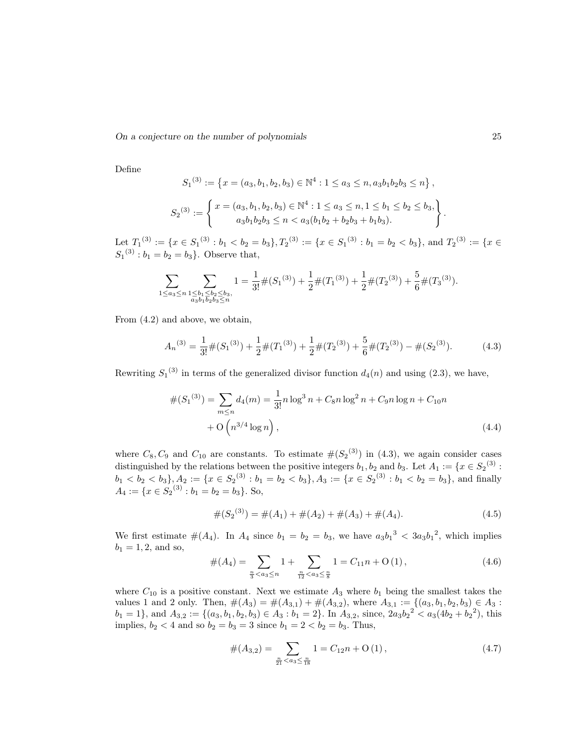Define

$$
S_1^{(3)} := \left\{ x = (a_3, b_1, b_2, b_3) \in \mathbb{N}^4 : 1 \le a_3 \le n, a_3b_1b_2b_3 \le n \right\},
$$
  

$$
S_2^{(3)} := \left\{ x = (a_3, b_1, b_2, b_3) \in \mathbb{N}^4 : 1 \le a_3 \le n, 1 \le b_1 \le b_2 \le b_3, \newline a_3b_1b_2b_3 \le n < a_3(b_1b_2 + b_2b_3 + b_1b_3).
$$

Let  $T_1^{(3)} := \{x \in S_1^{(3)} : b_1 \lt b_2 = b_3\}, T_2^{(3)} := \{x \in S_1^{(3)} : b_1 = b_2 \lt b_3\}, \text{ and } T_2^{(3)} := \{x \in S_1^{(3)} : b_1 = b_2 \lt b_3\}$  $S_1^{(3)}: b_1 = b_2 = b_3$ . Observe that,

$$
\sum_{1 \le a_3 \le n} \sum_{\substack{1 \le b_1 \le b_2 \le b_3, \\ a_3 b_1 b_2 b_3 \le n}} 1 = \frac{1}{3!} \#(S_1^{(3)}) + \frac{1}{2} \#(T_1^{(3)}) + \frac{1}{2} \#(T_2^{(3)}) + \frac{5}{6} \#(T_3^{(3)}).
$$

From (4.2) and above, we obtain,

$$
A_n^{(3)} = \frac{1}{3!} \#(S_1^{(3)}) + \frac{1}{2} \#(T_1^{(3)}) + \frac{1}{2} \#(T_2^{(3)}) + \frac{5}{6} \#(T_2^{(3)}) - \#(S_2^{(3)}).
$$
 (4.3)

Rewriting  $S_1^{(3)}$  in terms of the generalized divisor function  $d_4(n)$  and using (2.3), we have,

$$
#(S_1^{(3)}) = \sum_{m \le n} d_4(m) = \frac{1}{3!} n \log^3 n + C_8 n \log^2 n + C_9 n \log n + C_{10} n
$$

$$
+ O\left(n^{3/4} \log n\right), \tag{4.4}
$$

where  $C_8, C_9$  and  $C_{10}$  are constants. To estimate  $\#(S_2^{(3)})$  in (4.3), we again consider cases distinguished by the relations between the positive integers  $b_1, b_2$  and  $b_3$ . Let  $A_1 := \{x \in S_2^{(3)} :$  $b_1 < b_2 < b_3$ ,  $A_2 := \{x \in S_2^{(3)} : b_1 = b_2 < b_3\}$ ,  $A_3 := \{x \in S_2^{(3)} : b_1 < b_2 = b_3\}$ , and finally  $A_4 := \{x \in S_2^{(3)} : b_1 = b_2 = b_3\}.$  So,

$$
#(S_2(3)) = #(A_1) + #(A_2) + #(A_3) + #(A_4).
$$
\n(4.5)

We first estimate  $\#(A_4)$ . In  $A_4$  since  $b_1 = b_2 = b_3$ , we have  $a_3b_1^3 < 3a_3b_1^2$ , which implies  $b_1 = 1, 2, \text{ and so},$ 

$$
#(A_4) = \sum_{\frac{n}{3} < a_3 \le n} 1 + \sum_{\frac{n}{12} < a_3 \le \frac{n}{8}} 1 = C_{11}n + O(1),\tag{4.6}
$$

where  $C_{10}$  is a positive constant. Next we estimate  $A_3$  where  $b_1$  being the smallest takes the values 1 and 2 only. Then,  $\#(A_3) = \#(A_{3,1}) + \#(A_{3,2})$ , where  $A_{3,1} := \{(a_3, b_1, b_2, b_3) \in A_3 :$  $b_1 = 1$ , and  $A_{3,2} := \{(a_3, b_1, b_2, b_3) \in A_3 : b_1 = 2\}$ . In  $A_{3,2}$ , since,  $2a_3b_2^2 < a_3(4b_2 + b_2^2)$ , this implies,  $b_2 < 4$  and so  $b_2 = b_3 = 3$  since  $b_1 = 2 < b_2 = b_3$ . Thus,

$$
#(A_{3,2}) = \sum_{\frac{n}{21} < a_3 \le \frac{n}{18}} 1 = C_{12}n + O(1),\tag{4.7}
$$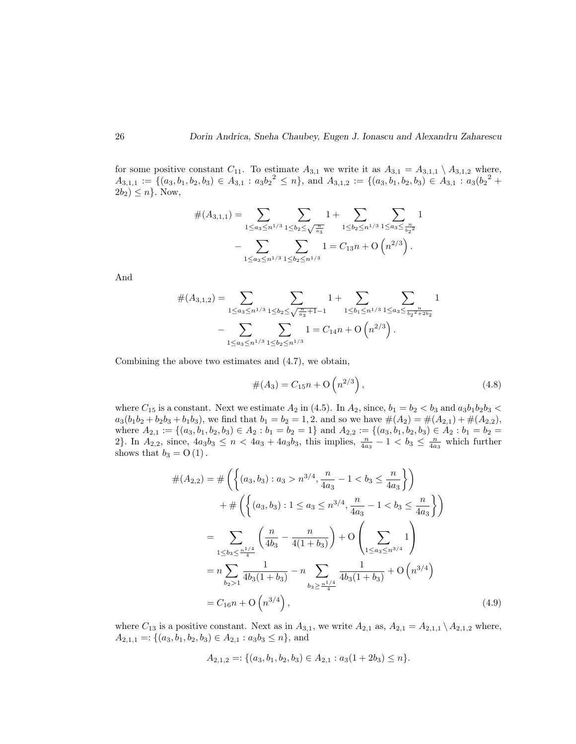for some positive constant  $C_{11}$ . To estimate  $A_{3,1}$  we write it as  $A_{3,1} = A_{3,1,1} \setminus A_{3,1,2}$  where,  $A_{3,1,1} := \{(a_3,b_1,b_2,b_3) \in A_{3,1} : a_3b_2^2 \leq n\}$ , and  $A_{3,1,2} := \{(a_3,b_1,b_2,b_3) \in A_{3,1} : a_3(b_2^2 +$  $2b_2$ )  $\leq n$ . Now,

$$
#(A_{3,1,1}) = \sum_{1 \le a_3 \le n^{1/3}} \sum_{1 \le b_2 \le \sqrt{\frac{n}{a_3}}} 1 + \sum_{1 \le b_2 \le n^{1/3}} \sum_{1 \le a_3 \le \frac{n}{b_2^2}} 1 - \sum_{1 \le a_3 \le n^{1/3}} \sum_{1 \le b_2 \le n^{1/3}} 1 = C_{13}n + \mathcal{O}\left(n^{2/3}\right).
$$

And

$$
#(A_{3,1,2}) = \sum_{1 \le a_3 \le n^{1/3}} \sum_{1 \le b_2 \le \sqrt{\frac{n}{a_3} + 1} - 1} 1 + \sum_{1 \le b_1 \le n^{1/3}} \sum_{1 \le a_3 \le \frac{n}{b_2^{2} + 2b_2}} 1 - \sum_{1 \le a_3 \le n^{1/3}} \sum_{1 \le b_2 \le n^{1/3}} 1 = C_{14}n + O\left(n^{2/3}\right).
$$

Combining the above two estimates and (4.7), we obtain,

$$
#(A_3) = C_{15}n + O(n^{2/3}),
$$
\n(4.8)

where  $C_{15}$  is a constant. Next we estimate  $A_2$  in (4.5). In  $A_2$ , since,  $b_1 = b_2 < b_3$  and  $a_3b_1b_2b_3$  $a_3(b_1b_2 + b_2b_3 + b_1b_3)$ , we find that  $b_1 = b_2 = 1, 2$ . and so we have  $#(A_2) = #(A_{2,1}) + #(A_{2,2}),$ where  $A_{2,1} := \{(a_3, b_1, b_2, b_3) \in A_2 : b_1 = b_2 = 1\}$  and  $A_{2,2} := \{(a_3, b_1, b_2, b_3) \in A_2 : b_1 = b_2 = 1\}$ 2. In  $A_{2,2}$ , since,  $4a_3b_3 \le n < 4a_3 + 4a_3b_3$ , this implies,  $\frac{n}{4a_3} - 1 < b_3 \le \frac{n}{4a_3}$  which further shows that  $b_3 = O(1)$ .

$$
\#(A_{2,2}) = \# \left( \left\{ (a_3, b_3) : a_3 > n^{3/4}, \frac{n}{4a_3} - 1 < b_3 \le \frac{n}{4a_3} \right\} \right)
$$
  
+ 
$$
\# \left( \left\{ (a_3, b_3) : 1 \le a_3 \le n^{3/4}, \frac{n}{4a_3} - 1 < b_3 \le \frac{n}{4a_3} \right\} \right)
$$
  
= 
$$
\sum_{1 \le b_3 \le \frac{n^{1/4}}{4}} \left( \frac{n}{4b_3} - \frac{n}{4(1+b_3)} \right) + O \left( \sum_{1 \le a_3 \le n^{3/4}} 1 \right)
$$
  
= 
$$
n \sum_{b_2 > 1} \frac{1}{4b_3(1+b_3)} - n \sum_{b_3 \ge \frac{n^{1/4}}{4}} \frac{1}{4b_3(1+b_3)} + O \left( n^{3/4} \right)
$$
  
= 
$$
C_{16}n + O \left( n^{3/4} \right), \tag{4.9}
$$

where  $C_{13}$  is a positive constant. Next as in  $A_{3,1}$ , we write  $A_{2,1}$  as,  $A_{2,1} = A_{2,1,1} \setminus A_{2,1,2}$  where,  $A_{2,1,1} =: \{(a_3,b_1,b_2,b_3) \in A_{2,1} : a_3b_3 \leq n\}$ , and

$$
A_{2,1,2} =: \{(a_3, b_1, b_2, b_3) \in A_{2,1} : a_3(1+2b_3) \le n\}.
$$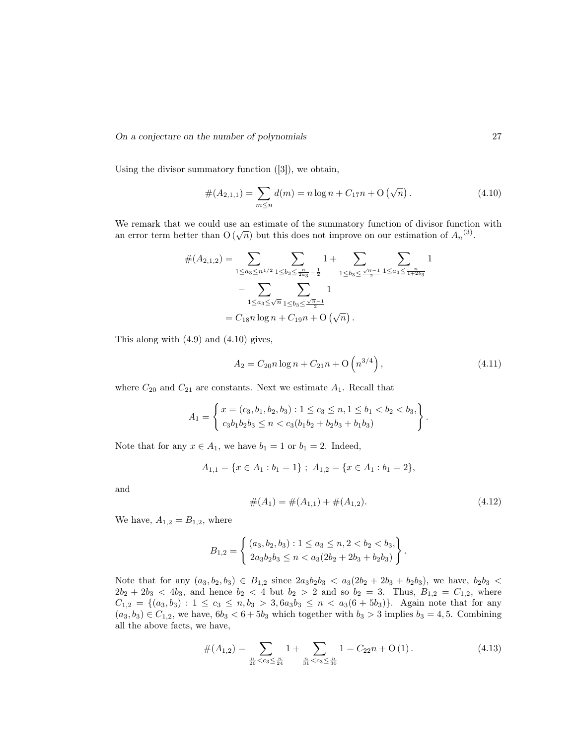Using the divisor summatory function ([3]), we obtain,

$$
#(A_{2,1,1}) = \sum_{m \le n} d(m) = n \log n + C_{17}n + O(\sqrt{n}).
$$
\n(4.10)

We remark that we could use an estimate of the summatory function of divisor function with we remark that we could use an estimate of the summatory function of divisor function<br>an error term better than  $O(\sqrt{n})$  but this does not improve on our estimation of  $A_n^{(3)}$ .

$$
#(A_{2,1,2}) = \sum_{1 \le a_3 \le n^{1/2}} \sum_{1 \le b_3 \le \frac{n}{2a_3} - \frac{1}{2}} 1 + \sum_{1 \le b_3 \le \frac{\sqrt{n}-1}{2}} \sum_{1 \le a_3 \le \frac{n}{1+2b_3}} 1 - \sum_{1 \le a_3 \le \sqrt{n}} \sum_{1 \le b_3 \le \frac{\sqrt{n}-1}{2}} 1 = C_{18} n \log n + C_{19} n + O(\sqrt{n}).
$$

This along with (4.9) and (4.10) gives,

$$
A_2 = C_{20} n \log n + C_{21} n + O\left(n^{3/4}\right),\tag{4.11}
$$

where  $C_{20}$  and  $C_{21}$  are constants. Next we estimate  $A_1$ . Recall that

$$
A_1 = \left\{ \begin{aligned} x &= (c_3, b_1, b_2, b_3) : 1 \le c_3 \le n, 1 \le b_1 < b_2 < b_3, \\ c_3b_1b_2b_3 &\le n < c_3(b_1b_2 + b_2b_3 + b_1b_3) \end{aligned} \right\}.
$$

Note that for any  $x \in A_1$ , we have  $b_1 = 1$  or  $b_1 = 2$ . Indeed,

$$
A_{1,1} = \{x \in A_1 : b_1 = 1\} \; ; \; A_{1,2} = \{x \in A_1 : b_1 = 2\},\;
$$

and

$$
#(A_1) = #(A_{1,1}) + #(A_{1,2}). \tag{4.12}
$$

.

We have,  $A_{1,2} = B_{1,2}$ , where

$$
B_{1,2} = \left\{ \begin{array}{l} (a_3, b_2, b_3) : 1 \le a_3 \le n, 2 < b_2 < b_3, \\ 2a_3b_2b_3 \le n < a_3(2b_2 + 2b_3 + b_2b_3) \end{array} \right\}
$$

Note that for any  $(a_3, b_2, b_3) \in B_{1,2}$  since  $2a_3b_2b_3 < a_3(2b_2 + 2b_3 + b_2b_3)$ , we have,  $b_2b_3 <$  $2b_2 + 2b_3 < 4b_3$ , and hence  $b_2 < 4$  but  $b_2 > 2$  and so  $b_2 = 3$ . Thus,  $B_{1,2} = C_{1,2}$ , where  $C_{1,2} = \{(a_3, b_3): 1 \leq c_3 \leq n, b_3 > 3, 6a_3b_3 \leq n \leq a_3(6+5b_3)\}.$  Again note that for any  $(a_3, b_3) \in C_{1,2}$ , we have,  $6b_3 < 6+5b_3$  which together with  $b_3 > 3$  implies  $b_3 = 4, 5$ . Combining all the above facts, we have,

$$
#(A_{1,2}) = \sum_{\frac{n}{26} < c_3 \le \frac{n}{24}} 1 + \sum_{\frac{n}{31} < c_3 \le \frac{n}{30}} 1 = C_{22}n + O(1). \tag{4.13}
$$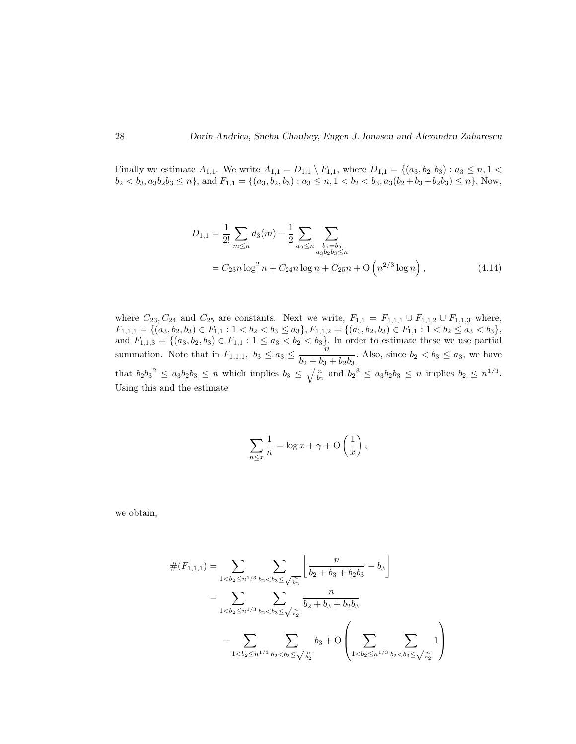Finally we estimate  $A_{1,1}$ . We write  $A_{1,1} = D_{1,1} \setminus F_{1,1}$ , where  $D_{1,1} = \{(a_3, b_2, b_3) : a_3 \le n, 1 \le n \}$  $b_2 < b_3, a_3b_2b_3 \le n\}$ , and  $F_{1,1} = \{(a_3, b_2, b_3) : a_3 \le n, 1 < b_2 < b_3, a_3(b_2 + b_3 + b_2b_3) \le n\}$ . Now,

$$
D_{1,1} = \frac{1}{2!} \sum_{m \le n} d_3(m) - \frac{1}{2} \sum_{\substack{a_3 \le n \\ a_3 b_2 b_3 \le n}} \sum_{\substack{b_2 = b_3 \\ a_3 b_2 b_3 \le n}} \sum_{\substack{b_3 = b_3 \\ a_4 b_2 b_3 \le n}} (4.14)
$$

where  $C_{23}, C_{24}$  and  $C_{25}$  are constants. Next we write,  $F_{1,1} = F_{1,1,1} \cup F_{1,1,2} \cup F_{1,1,3}$  where,  $F_{1,1,1} = \{(a_3, b_2, b_3) \in F_{1,1} : 1 < b_2 < b_3 \le a_3\}, F_{1,1,2} = \{(a_3, b_2, b_3) \in F_{1,1} : 1 < b_2 \le a_3 < b_3\},\$ and  $F_{1,1,3} = \{(a_3, b_2, b_3) \in F_{1,1} : 1 \le a_3 < b_2 < b_3\}$ . In order to estimate these we use partial summation. Note that in  $F_{1,1,1}$ ,  $b_3 \le a_3 \le \frac{n}{b_3+b_4}$  $\frac{b}{b_2 + b_3 + b_2b_3}$ . Also, since  $b_2 < b_3 \le a_3$ , we have that  $b_2b_3^2 \leq a_3b_2b_3 \leq n$  which implies  $b_3 \leq \sqrt{\frac{n}{b_2}}$  and  $b_2^3 \leq a_3b_2b_3 \leq n$  implies  $b_2 \leq n^{1/3}$ . Using this and the estimate

$$
\sum_{n \le x} \frac{1}{n} = \log x + \gamma + \mathcal{O}\left(\frac{1}{x}\right),\,
$$

we obtain,

$$
\#(F_{1,1,1}) = \sum_{1 < b_2 \le n^{1/3}} \sum_{b_2 < b_3 \le \sqrt{\frac{n}{b_2}}} \left[ \frac{n}{b_2 + b_3 + b_2 b_3} - b_3 \right]
$$
  
= 
$$
\sum_{1 < b_2 \le n^{1/3}} \sum_{b_2 < b_3 \le \sqrt{\frac{n}{b_2}}} \frac{n}{b_2 + b_3 + b_2 b_3}
$$
  
- 
$$
\sum_{1 < b_2 \le n^{1/3}} \sum_{b_2 < b_3 \le \sqrt{\frac{n}{b_2}}} b_3 + O\left(\sum_{1 < b_2 \le n^{1/3}} \sum_{b_2 < b_3 \le \sqrt{\frac{n}{b_2}}} 1\right)
$$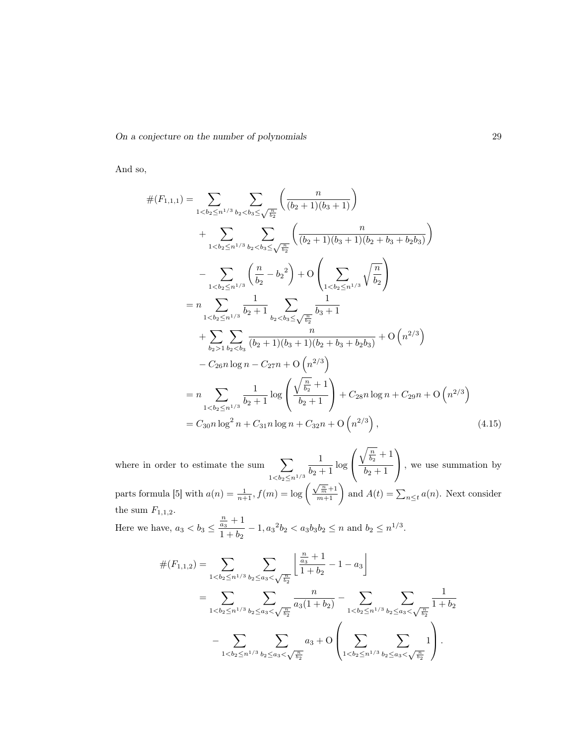And so,

$$
\#(F_{1,1,1}) = \sum_{1 < b_2 \le n^{1/3}} \sum_{b_2 < b_3 \le \sqrt{\frac{n}{b_2}}} \left( \frac{n}{(b_2 + 1)(b_3 + 1)} \right)
$$
  
+ 
$$
\sum_{1 < b_2 \le n^{1/3}} \sum_{b_2 < b_3 \le \sqrt{\frac{n}{b_2}}} \left( \frac{n}{(b_2 + 1)(b_3 + 1)(b_2 + b_3 + b_2 b_3)} \right)
$$
  
- 
$$
\sum_{1 < b_2 \le n^{1/3}} \left( \frac{n}{b_2} - b_2^2 \right) + O\left( \sum_{1 < b_2 \le n^{1/3}} \sqrt{\frac{n}{b_2}} \right)
$$
  
= 
$$
n \sum_{1 < b_2 \le n^{1/3}} \frac{1}{b_2 + 1} \sum_{b_2 < b_3 \le \sqrt{\frac{n}{b_2}}} \frac{1}{b_3 + 1}
$$
  
+ 
$$
\sum_{b_2 > 1} \sum_{b_2 < b_3} \frac{n}{(b_2 + 1)(b_3 + 1)(b_2 + b_3 + b_2 b_3)} + O(n^{2/3})
$$
  
- 
$$
C_{26} n \log n - C_{27} n + O(n^{2/3})
$$
  
= 
$$
n \sum_{1 < b_2 \le n^{1/3}} \frac{1}{b_2 + 1} \log \left( \frac{\sqrt{\frac{n}{b_2}} + 1}{b_2 + 1} \right) + C_{28} n \log n + C_{29} n + O(n^{2/3})
$$
  
= 
$$
C_{30} n \log^2 n + C_{31} n \log n + C_{32} n + O(n^{2/3}), \qquad (4.15)
$$

where in order to estimate the sum  $\sum$  $1 < b_2 \leq n^{1/3}$ 1  $\frac{1}{b_2+1}$  log  $\sqrt{ }$  $\mathcal{L}$  $\sqrt{\frac{n}{b_2}}+1$  $b_2 + 1$  $\setminus$  , we use summation by parts formula [5] with  $a(n) = \frac{1}{n+1}$ ,  $f(m) = \log\left(\frac{\sqrt{\frac{m}{m}}+1}{m+1}\right)$  and  $A(t) = \sum_{n \le t} a(n)$ . Next consider the sum  $F_{1,1,2}.$  $\frac{n}{a_3}+1$ 

Here we have,  $a_3 < b_3 \leq$  $\frac{a_3}{1+b_2} - 1$ ,  $a_3^2b_2 < a_3b_3b_2 \le n$  and  $b_2 \le n^{1/3}$ .

$$
\#(F_{1,1,2}) = \sum_{1 < b_2 \le n^{1/3}} \sum_{b_2 \le a_3 < \sqrt{\frac{n}{b_2}}} \left[ \frac{\frac{n}{a_3} + 1}{1 + b_2} - 1 - a_3 \right]
$$
  
= 
$$
\sum_{1 < b_2 \le n^{1/3}} \sum_{b_2 \le a_3 < \sqrt{\frac{n}{b_2}}} \frac{n}{a_3(1 + b_2)} - \sum_{1 < b_2 \le n^{1/3}} \sum_{b_2 \le a_3 < \sqrt{\frac{n}{b_2}}} \frac{1}{1 + b_2}
$$
  
- 
$$
\sum_{1 < b_2 \le n^{1/3}} \sum_{b_2 \le a_3 < \sqrt{\frac{n}{b_2}}} a_3 + O\left(\sum_{1 < b_2 \le n^{1/3}} \sum_{b_2 \le a_3 < \sqrt{\frac{n}{b_2}}} 1\right).
$$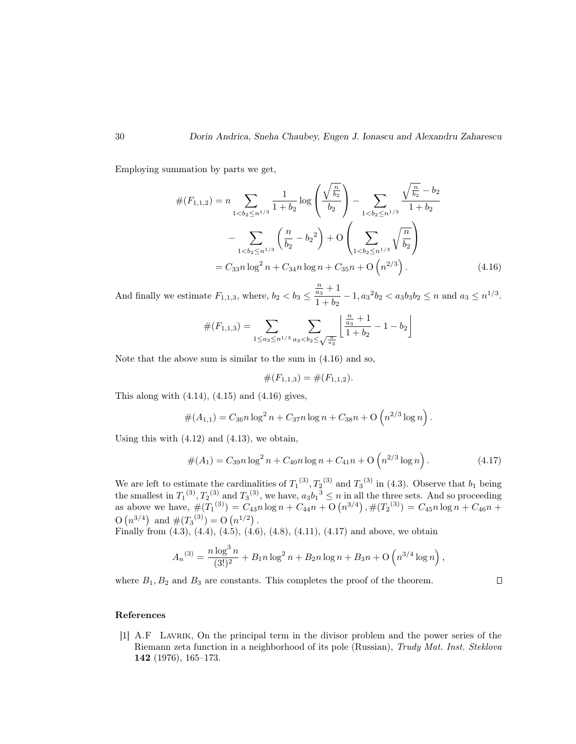Employing summation by parts we get,

$$
\#(F_{1,1,2}) = n \sum_{1 < b_2 \le n^{1/3}} \frac{1}{1+b_2} \log \left( \frac{\sqrt{\frac{n}{b_2}}}{b_2} \right) - \sum_{1 < b_2 \le n^{1/3}} \frac{\sqrt{\frac{n}{b_2}} - b_2}{1+b_2}
$$

$$
- \sum_{1 < b_2 \le n^{1/3}} \left( \frac{n}{b_2} - b_2^2 \right) + O \left( \sum_{1 < b_2 \le n^{1/3}} \sqrt{\frac{n}{b_2}} \right)
$$

$$
= C_{33} n \log^2 n + C_{34} n \log n + C_{35} n + O \left( n^{2/3} \right). \tag{4.16}
$$

And finally we estimate  $F_{1,1,3}$ , where,  $b_2 < b_3 \leq$  $\frac{n}{a_3}+1$  $\frac{a_3}{1+b_2} - 1$ ,  $a_3^2b_2 < a_3b_3b_2 \le n$  and  $a_3 \le n^{1/3}$ .

$$
\#(F_{1,1,3}) = \sum_{1 \leq a_3 \leq n^{1/3}} \sum_{a_3 < b_2 \leq \sqrt{\frac{n}{a_3}}} \left\lfloor \frac{\frac{n}{a_3}+1}{1+b_2} - 1 - b_2 \right\rfloor
$$

Note that the above sum is similar to the sum in (4.16) and so,

$$
\#(F_{1,1,3}) = \#(F_{1,1,2}).
$$

This along with  $(4.14)$ ,  $(4.15)$  and  $(4.16)$  gives,

$$
#(A_{1,1}) = C_{36} n \log^2 n + C_{37} n \log n + C_{38} n + O\left(n^{2/3} \log n\right).
$$

Using this with  $(4.12)$  and  $(4.13)$ , we obtain,

$$
#(A_1) = C_{39}n \log^2 n + C_{40}n \log n + C_{41}n + O\left(n^{2/3} \log n\right).
$$
 (4.17)

We are left to estimate the cardinalities of  $T_1^{(3)}$ ,  $T_2^{(3)}$  and  $T_3^{(3)}$  in (4.3). Observe that  $b_1$  being the smallest in  $T_1^{(3)}$ ,  $T_2^{(3)}$  and  $T_3^{(3)}$ , we have,  $a_3b_1^{3} \le n$  in all the three sets. And so proceeding as above we have,  $\#(T_1^{(3)}) = C_{43}n \log n + C_{44}n + O(n^{3/4}), \#(T_2^{(3)}) = C_{45}n \log n + C_{46}n +$  $O(n^{3/4})$  and  $#(T_3^{(3)}) = O(n^{1/2})$ .

Finally from (4.3), (4.4), (4.5), (4.6), (4.8), (4.11), (4.17) and above, we obtain

$$
A_n^{(3)} = \frac{n \log^3 n}{(3!)^2} + B_1 n \log^2 n + B_2 n \log n + B_3 n + O\left(n^{3/4} \log n\right)
$$

where  $B_1, B_2$  and  $B_3$  are constants. This completes the proof of the theorem.

 $\Box$ 

,

### References

[1] A.F Lavrik, On the principal term in the divisor problem and the power series of the Riemann zeta function in a neighborhood of its pole (Russian), Trudy Mat. Inst. Steklova 142 (1976), 165–173.